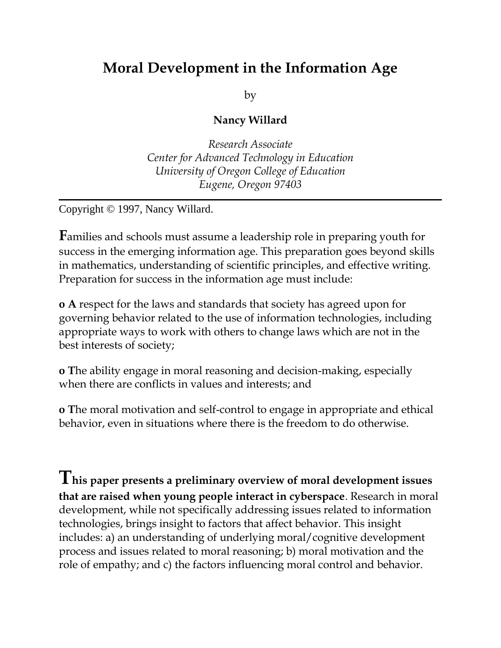# **Moral Development in the Information Age**

by

#### **Nancy Willard**

*Research Associate Center for Advanced Technology in Education University of Oregon College of Education Eugene, Oregon 97403*

Copyright © 1997, Nancy Willard.

**F**amilies and schools must assume a leadership role in preparing youth for success in the emerging information age. This preparation goes beyond skills in mathematics, understanding of scientific principles, and effective writing. Preparation for success in the information age must include:

**o A** respect for the laws and standards that society has agreed upon for governing behavior related to the use of information technologies, including appropriate ways to work with others to change laws which are not in the best interests of society;

**o T**he ability engage in moral reasoning and decision-making, especially when there are conflicts in values and interests; and

**o T**he moral motivation and self-control to engage in appropriate and ethical behavior, even in situations where there is the freedom to do otherwise.

**This paper presents a preliminary overview of moral development issues that are raised when young people interact in cyberspace**. Research in moral development, while not specifically addressing issues related to information technologies, brings insight to factors that affect behavior. This insight includes: a) an understanding of underlying moral/cognitive development process and issues related to moral reasoning; b) moral motivation and the role of empathy; and c) the factors influencing moral control and behavior.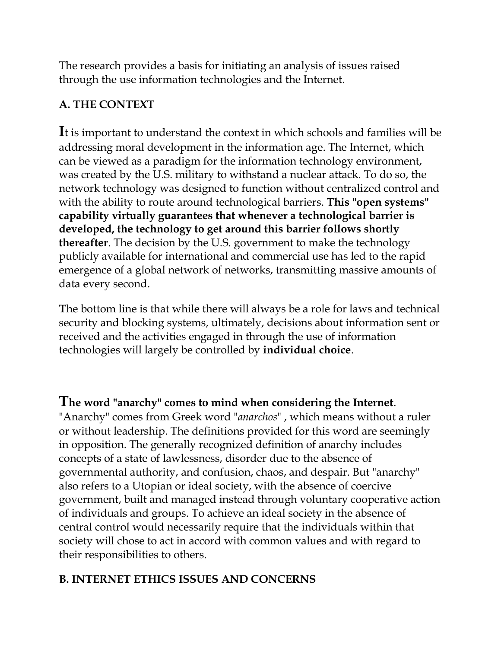The research provides a basis for initiating an analysis of issues raised through the use information technologies and the Internet.

## **A. THE CONTEXT**

**I**t is important to understand the context in which schools and families will be addressing moral development in the information age. The Internet, which can be viewed as a paradigm for the information technology environment, was created by the U.S. military to withstand a nuclear attack. To do so, the network technology was designed to function without centralized control and with the ability to route around technological barriers. **This "open systems" capability virtually guarantees that whenever a technological barrier is developed, the technology to get around this barrier follows shortly thereafter**. The decision by the U.S. government to make the technology publicly available for international and commercial use has led to the rapid emergence of a global network of networks, transmitting massive amounts of data every second.

**T**he bottom line is that while there will always be a role for laws and technical security and blocking systems, ultimately, decisions about information sent or received and the activities engaged in through the use of information technologies will largely be controlled by **individual choice**.

## **The word "anarchy" comes to mind when considering the Internet**.

"Anarchy" comes from Greek word "*anarchos*" , which means without a ruler or without leadership. The definitions provided for this word are seemingly in opposition. The generally recognized definition of anarchy includes concepts of a state of lawlessness, disorder due to the absence of governmental authority, and confusion, chaos, and despair. But "anarchy" also refers to a Utopian or ideal society, with the absence of coercive government, built and managed instead through voluntary cooperative action of individuals and groups. To achieve an ideal society in the absence of central control would necessarily require that the individuals within that society will chose to act in accord with common values and with regard to their responsibilities to others.

# **B. INTERNET ETHICS ISSUES AND CONCERNS**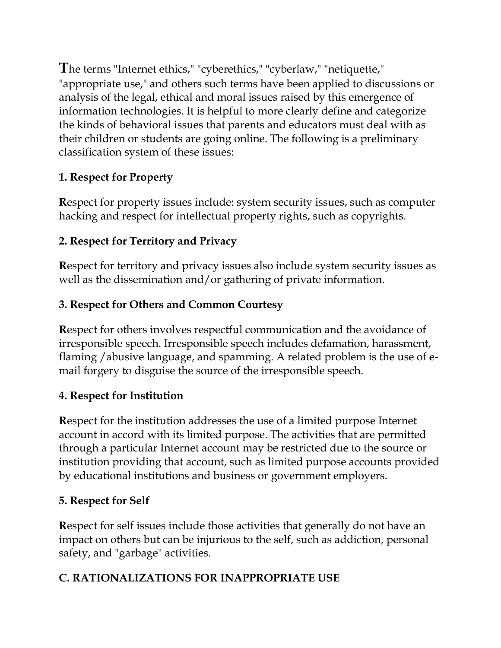**T**he terms "Internet ethics," "cyberethics," "cyberlaw," "netiquette," "appropriate use," and others such terms have been applied to discussions or analysis of the legal, ethical and moral issues raised by this emergence of information technologies. It is helpful to more clearly define and categorize the kinds of behavioral issues that parents and educators must deal with as their children or students are going online. The following is a preliminary classification system of these issues:

## **1. Respect for Property**

**R**espect for property issues include: system security issues, such as computer hacking and respect for intellectual property rights, such as copyrights.

### **2. Respect for Territory and Privacy**

**R**espect for territory and privacy issues also include system security issues as well as the dissemination and/or gathering of private information.

### **3. Respect for Others and Common Courtesy**

**R**espect for others involves respectful communication and the avoidance of irresponsible speech. Irresponsible speech includes defamation, harassment, flaming /abusive language, and spamming. A related problem is the use of email forgery to disguise the source of the irresponsible speech.

### **4. Respect for Institution**

**R**espect for the institution addresses the use of a limited purpose Internet account in accord with its limited purpose. The activities that are permitted through a particular Internet account may be restricted due to the source or institution providing that account, such as limited purpose accounts provided by educational institutions and business or government employers.

### **5. Respect for Self**

**R**espect for self issues include those activities that generally do not have an impact on others but can be injurious to the self, such as addiction, personal safety, and "garbage" activities.

## **C. RATIONALIZATIONS FOR INAPPROPRIATE USE**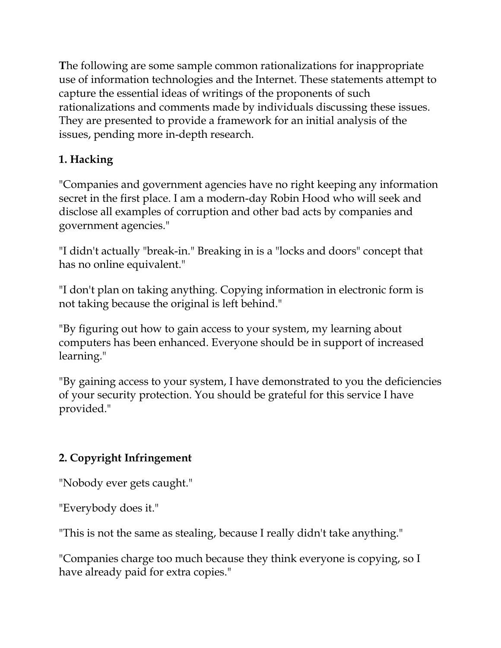**T**he following are some sample common rationalizations for inappropriate use of information technologies and the Internet. These statements attempt to capture the essential ideas of writings of the proponents of such rationalizations and comments made by individuals discussing these issues. They are presented to provide a framework for an initial analysis of the issues, pending more in-depth research.

## **1. Hacking**

"Companies and government agencies have no right keeping any information secret in the first place. I am a modern-day Robin Hood who will seek and disclose all examples of corruption and other bad acts by companies and government agencies."

"I didn't actually "break-in." Breaking in is a "locks and doors" concept that has no online equivalent."

"I don't plan on taking anything. Copying information in electronic form is not taking because the original is left behind."

"By figuring out how to gain access to your system, my learning about computers has been enhanced. Everyone should be in support of increased learning."

"By gaining access to your system, I have demonstrated to you the deficiencies of your security protection. You should be grateful for this service I have provided."

## **2. Copyright Infringement**

"Nobody ever gets caught."

"Everybody does it."

"This is not the same as stealing, because I really didn't take anything."

"Companies charge too much because they think everyone is copying, so I have already paid for extra copies."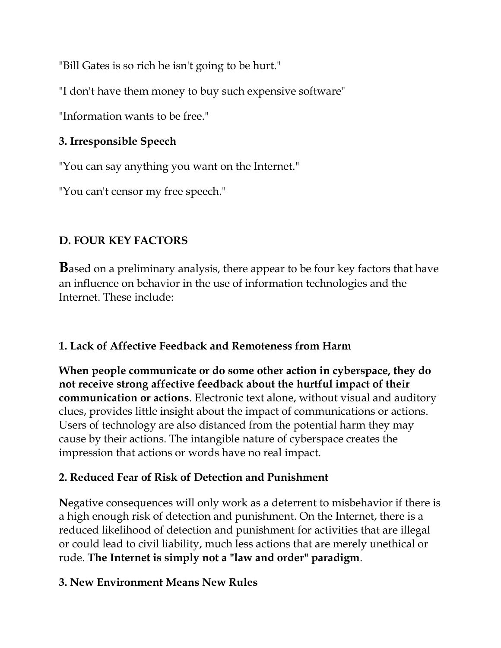"Bill Gates is so rich he isn't going to be hurt."

"I don't have them money to buy such expensive software"

"Information wants to be free."

### **3. Irresponsible Speech**

"You can say anything you want on the Internet."

"You can't censor my free speech."

## **D. FOUR KEY FACTORS**

**B**ased on a preliminary analysis, there appear to be four key factors that have an influence on behavior in the use of information technologies and the Internet. These include:

## **1. Lack of Affective Feedback and Remoteness from Harm**

**When people communicate or do some other action in cyberspace, they do not receive strong affective feedback about the hurtful impact of their communication or actions**. Electronic text alone, without visual and auditory clues, provides little insight about the impact of communications or actions. Users of technology are also distanced from the potential harm they may cause by their actions. The intangible nature of cyberspace creates the impression that actions or words have no real impact.

## **2. Reduced Fear of Risk of Detection and Punishment**

**N**egative consequences will only work as a deterrent to misbehavior if there is a high enough risk of detection and punishment. On the Internet, there is a reduced likelihood of detection and punishment for activities that are illegal or could lead to civil liability, much less actions that are merely unethical or rude. **The Internet is simply not a "law and order" paradigm**.

### **3. New Environment Means New Rules**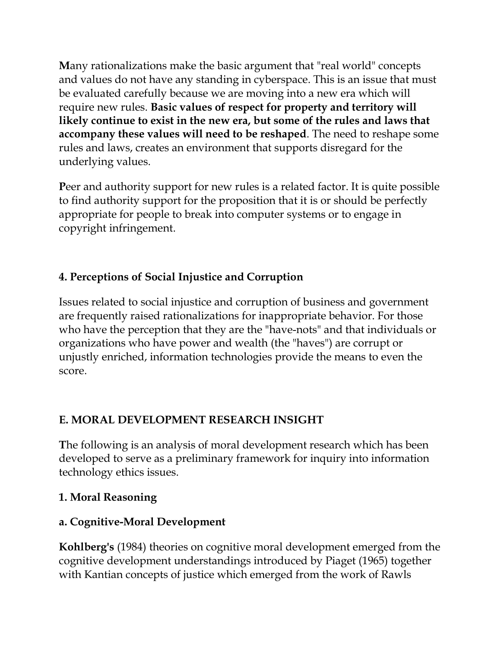**M**any rationalizations make the basic argument that "real world" concepts and values do not have any standing in cyberspace. This is an issue that must be evaluated carefully because we are moving into a new era which will require new rules. **Basic values of respect for property and territory will likely continue to exist in the new era, but some of the rules and laws that accompany these values will need to be reshaped**. The need to reshape some rules and laws, creates an environment that supports disregard for the underlying values.

**P**eer and authority support for new rules is a related factor. It is quite possible to find authority support for the proposition that it is or should be perfectly appropriate for people to break into computer systems or to engage in copyright infringement.

### **4. Perceptions of Social Injustice and Corruption**

Issues related to social injustice and corruption of business and government are frequently raised rationalizations for inappropriate behavior. For those who have the perception that they are the "have-nots" and that individuals or organizations who have power and wealth (the "haves") are corrupt or unjustly enriched, information technologies provide the means to even the score.

### **E. MORAL DEVELOPMENT RESEARCH INSIGHT**

**T**he following is an analysis of moral development research which has been developed to serve as a preliminary framework for inquiry into information technology ethics issues.

#### **1. Moral Reasoning**

#### **a. Cognitive-Moral Development**

**Kohlberg's** (1984) theories on cognitive moral development emerged from the cognitive development understandings introduced by Piaget (1965) together with Kantian concepts of justice which emerged from the work of Rawls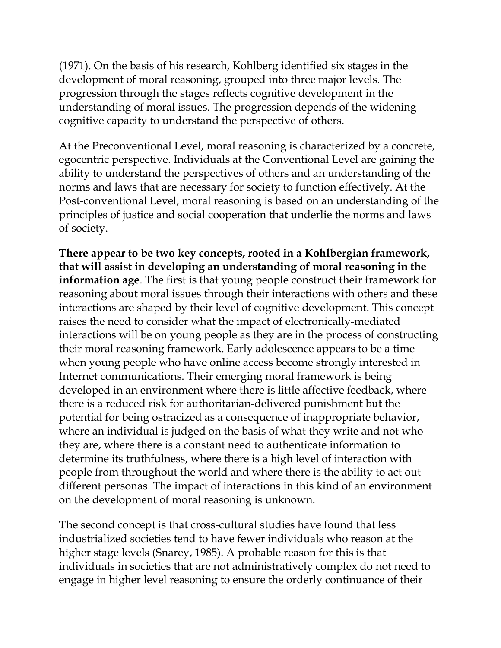(1971). On the basis of his research, Kohlberg identified six stages in the development of moral reasoning, grouped into three major levels. The progression through the stages reflects cognitive development in the understanding of moral issues. The progression depends of the widening cognitive capacity to understand the perspective of others.

At the Preconventional Level, moral reasoning is characterized by a concrete, egocentric perspective. Individuals at the Conventional Level are gaining the ability to understand the perspectives of others and an understanding of the norms and laws that are necessary for society to function effectively. At the Post-conventional Level, moral reasoning is based on an understanding of the principles of justice and social cooperation that underlie the norms and laws of society.

**There appear to be two key concepts, rooted in a Kohlbergian framework, that will assist in developing an understanding of moral reasoning in the information age**. The first is that young people construct their framework for reasoning about moral issues through their interactions with others and these interactions are shaped by their level of cognitive development. This concept raises the need to consider what the impact of electronically-mediated interactions will be on young people as they are in the process of constructing their moral reasoning framework. Early adolescence appears to be a time when young people who have online access become strongly interested in Internet communications. Their emerging moral framework is being developed in an environment where there is little affective feedback, where there is a reduced risk for authoritarian-delivered punishment but the potential for being ostracized as a consequence of inappropriate behavior, where an individual is judged on the basis of what they write and not who they are, where there is a constant need to authenticate information to determine its truthfulness, where there is a high level of interaction with people from throughout the world and where there is the ability to act out different personas. The impact of interactions in this kind of an environment on the development of moral reasoning is unknown.

**T**he second concept is that cross-cultural studies have found that less industrialized societies tend to have fewer individuals who reason at the higher stage levels (Snarey, 1985). A probable reason for this is that individuals in societies that are not administratively complex do not need to engage in higher level reasoning to ensure the orderly continuance of their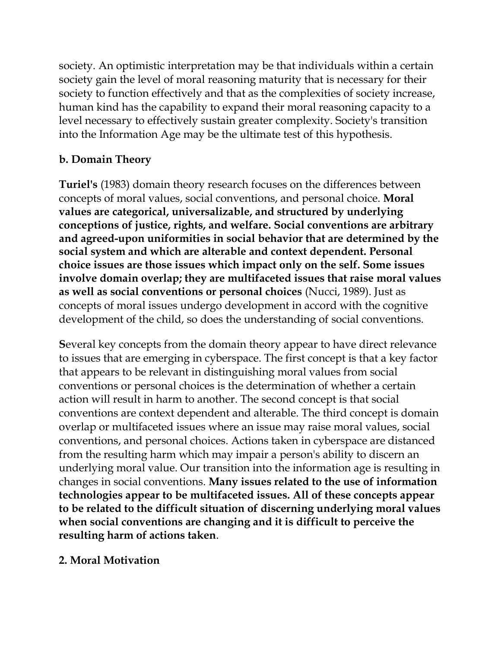society. An optimistic interpretation may be that individuals within a certain society gain the level of moral reasoning maturity that is necessary for their society to function effectively and that as the complexities of society increase, human kind has the capability to expand their moral reasoning capacity to a level necessary to effectively sustain greater complexity. Society's transition into the Information Age may be the ultimate test of this hypothesis.

### **b. Domain Theory**

**Turiel's** (1983) domain theory research focuses on the differences between concepts of moral values, social conventions, and personal choice. **Moral values are categorical, universalizable, and structured by underlying conceptions of justice, rights, and welfare. Social conventions are arbitrary and agreed-upon uniformities in social behavior that are determined by the social system and which are alterable and context dependent. Personal choice issues are those issues which impact only on the self. Some issues involve domain overlap; they are multifaceted issues that raise moral values as well as social conventions or personal choices** (Nucci, 1989). Just as concepts of moral issues undergo development in accord with the cognitive development of the child, so does the understanding of social conventions.

**S**everal key concepts from the domain theory appear to have direct relevance to issues that are emerging in cyberspace. The first concept is that a key factor that appears to be relevant in distinguishing moral values from social conventions or personal choices is the determination of whether a certain action will result in harm to another. The second concept is that social conventions are context dependent and alterable. The third concept is domain overlap or multifaceted issues where an issue may raise moral values, social conventions, and personal choices. Actions taken in cyberspace are distanced from the resulting harm which may impair a person's ability to discern an underlying moral value. Our transition into the information age is resulting in changes in social conventions. **Many issues related to the use of information technologies appear to be multifaceted issues. All of these concepts appear to be related to the difficult situation of discerning underlying moral values when social conventions are changing and it is difficult to perceive the resulting harm of actions taken**.

### **2. Moral Motivation**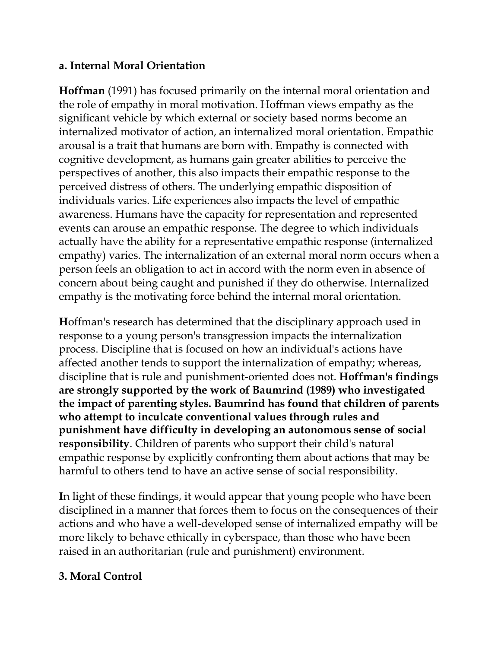#### **a. Internal Moral Orientation**

**Hoffman** (1991) has focused primarily on the internal moral orientation and the role of empathy in moral motivation. Hoffman views empathy as the significant vehicle by which external or society based norms become an internalized motivator of action, an internalized moral orientation. Empathic arousal is a trait that humans are born with. Empathy is connected with cognitive development, as humans gain greater abilities to perceive the perspectives of another, this also impacts their empathic response to the perceived distress of others. The underlying empathic disposition of individuals varies. Life experiences also impacts the level of empathic awareness. Humans have the capacity for representation and represented events can arouse an empathic response. The degree to which individuals actually have the ability for a representative empathic response (internalized empathy) varies. The internalization of an external moral norm occurs when a person feels an obligation to act in accord with the norm even in absence of concern about being caught and punished if they do otherwise. Internalized empathy is the motivating force behind the internal moral orientation.

**H**offman's research has determined that the disciplinary approach used in response to a young person's transgression impacts the internalization process. Discipline that is focused on how an individual's actions have affected another tends to support the internalization of empathy; whereas, discipline that is rule and punishment-oriented does not. **Hoffman's findings are strongly supported by the work of Baumrind (1989) who investigated the impact of parenting styles. Baumrind has found that children of parents who attempt to inculcate conventional values through rules and punishment have difficulty in developing an autonomous sense of social responsibility**. Children of parents who support their child's natural empathic response by explicitly confronting them about actions that may be harmful to others tend to have an active sense of social responsibility.

**I**n light of these findings, it would appear that young people who have been disciplined in a manner that forces them to focus on the consequences of their actions and who have a well-developed sense of internalized empathy will be more likely to behave ethically in cyberspace, than those who have been raised in an authoritarian (rule and punishment) environment.

#### **3. Moral Control**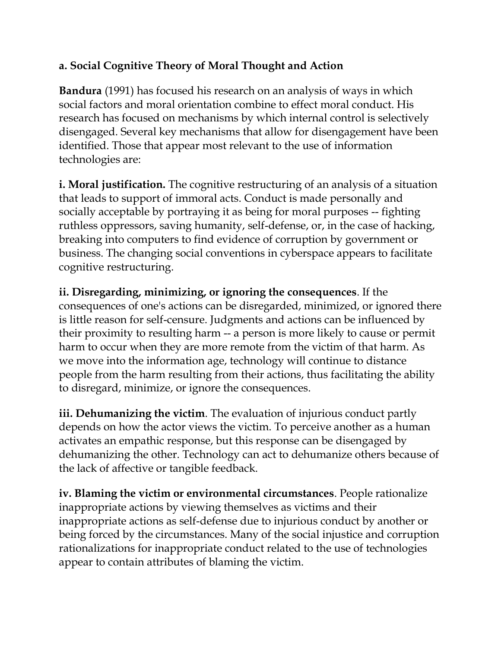### **a. Social Cognitive Theory of Moral Thought and Action**

**Bandura** (1991) has focused his research on an analysis of ways in which social factors and moral orientation combine to effect moral conduct. His research has focused on mechanisms by which internal control is selectively disengaged. Several key mechanisms that allow for disengagement have been identified. Those that appear most relevant to the use of information technologies are:

**i. Moral justification.** The cognitive restructuring of an analysis of a situation that leads to support of immoral acts. Conduct is made personally and socially acceptable by portraying it as being for moral purposes -- fighting ruthless oppressors, saving humanity, self-defense, or, in the case of hacking, breaking into computers to find evidence of corruption by government or business. The changing social conventions in cyberspace appears to facilitate cognitive restructuring.

**ii. Disregarding, minimizing, or ignoring the consequences**. If the consequences of one's actions can be disregarded, minimized, or ignored there is little reason for self-censure. Judgments and actions can be influenced by their proximity to resulting harm -- a person is more likely to cause or permit harm to occur when they are more remote from the victim of that harm. As we move into the information age, technology will continue to distance people from the harm resulting from their actions, thus facilitating the ability to disregard, minimize, or ignore the consequences.

**iii. Dehumanizing the victim**. The evaluation of injurious conduct partly depends on how the actor views the victim. To perceive another as a human activates an empathic response, but this response can be disengaged by dehumanizing the other. Technology can act to dehumanize others because of the lack of affective or tangible feedback.

**iv. Blaming the victim or environmental circumstances**. People rationalize inappropriate actions by viewing themselves as victims and their inappropriate actions as self-defense due to injurious conduct by another or being forced by the circumstances. Many of the social injustice and corruption rationalizations for inappropriate conduct related to the use of technologies appear to contain attributes of blaming the victim.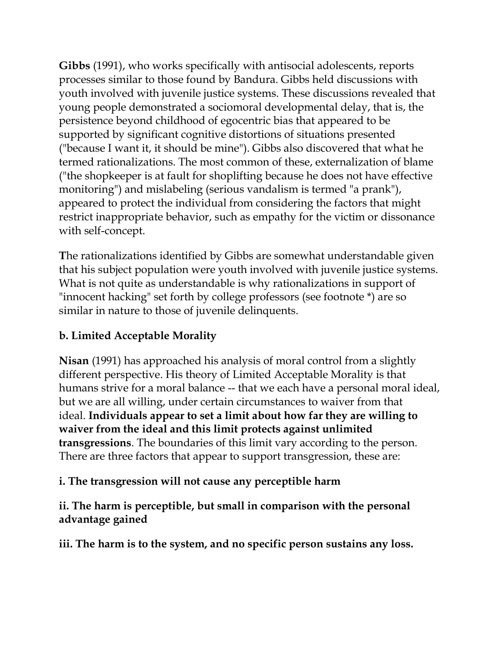**Gibbs** (1991), who works specifically with antisocial adolescents, reports processes similar to those found by Bandura. Gibbs held discussions with youth involved with juvenile justice systems. These discussions revealed that young people demonstrated a sociomoral developmental delay, that is, the persistence beyond childhood of egocentric bias that appeared to be supported by significant cognitive distortions of situations presented ("because I want it, it should be mine"). Gibbs also discovered that what he termed rationalizations. The most common of these, externalization of blame ("the shopkeeper is at fault for shoplifting because he does not have effective monitoring") and mislabeling (serious vandalism is termed "a prank"), appeared to protect the individual from considering the factors that might restrict inappropriate behavior, such as empathy for the victim or dissonance with self-concept.

**T**he rationalizations identified by Gibbs are somewhat understandable given that his subject population were youth involved with juvenile justice systems. What is not quite as understandable is why rationalizations in support of "innocent hacking" set forth by college professors (see footnote \*) are so similar in nature to those of juvenile delinquents.

## **b. Limited Acceptable Morality**

**Nisan** (1991) has approached his analysis of moral control from a slightly different perspective. His theory of Limited Acceptable Morality is that humans strive for a moral balance -- that we each have a personal moral ideal, but we are all willing, under certain circumstances to waiver from that ideal. **Individuals appear to set a limit about how far they are willing to waiver from the ideal and this limit protects against unlimited transgressions**. The boundaries of this limit vary according to the person. There are three factors that appear to support transgression, these are:

### **i. The transgression will not cause any perceptible harm**

#### **ii. The harm is perceptible, but small in comparison with the personal advantage gained**

**iii. The harm is to the system, and no specific person sustains any loss.**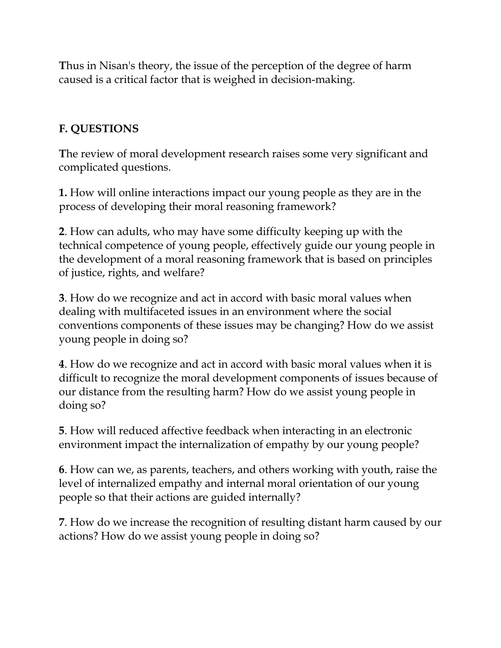**T**hus in Nisan's theory, the issue of the perception of the degree of harm caused is a critical factor that is weighed in decision-making.

## **F. QUESTIONS**

**T**he review of moral development research raises some very significant and complicated questions.

**1.** How will online interactions impact our young people as they are in the process of developing their moral reasoning framework?

**2**. How can adults, who may have some difficulty keeping up with the technical competence of young people, effectively guide our young people in the development of a moral reasoning framework that is based on principles of justice, rights, and welfare?

**3**. How do we recognize and act in accord with basic moral values when dealing with multifaceted issues in an environment where the social conventions components of these issues may be changing? How do we assist young people in doing so?

**4**. How do we recognize and act in accord with basic moral values when it is difficult to recognize the moral development components of issues because of our distance from the resulting harm? How do we assist young people in doing so?

**5**. How will reduced affective feedback when interacting in an electronic environment impact the internalization of empathy by our young people?

**6**. How can we, as parents, teachers, and others working with youth, raise the level of internalized empathy and internal moral orientation of our young people so that their actions are guided internally?

**7**. How do we increase the recognition of resulting distant harm caused by our actions? How do we assist young people in doing so?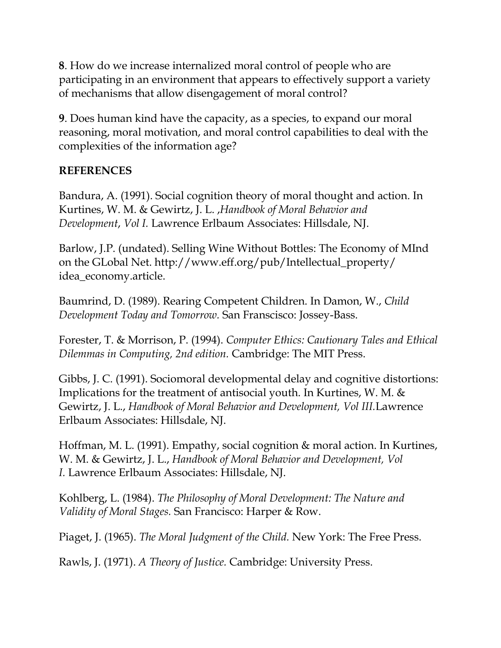**8**. How do we increase internalized moral control of people who are participating in an environment that appears to effectively support a variety of mechanisms that allow disengagement of moral control?

**9**. Does human kind have the capacity, as a species, to expand our moral reasoning, moral motivation, and moral control capabilities to deal with the complexities of the information age?

#### **REFERENCES**

Bandura, A. (1991). Social cognition theory of moral thought and action. In Kurtines, W. M. & Gewirtz, J. L. ,*Handbook of Moral Behavior and Development*, *Vol I.* Lawrence Erlbaum Associates: Hillsdale, NJ.

Barlow, J.P. (undated). Selling Wine Without Bottles: The Economy of MInd on the GLobal Net. http://www.eff.org/pub/Intellectual\_property/ idea\_economy.article.

Baumrind, D. (1989). Rearing Competent Children. In Damon, W., *Child Development Today and Tomorrow.* San Franscisco: Jossey-Bass.

Forester, T. & Morrison, P. (1994). *Computer Ethics: Cautionary Tales and Ethical Dilemmas in Computing, 2nd edition.* Cambridge: The MIT Press.

Gibbs, J. C. (1991). Sociomoral developmental delay and cognitive distortions: Implications for the treatment of antisocial youth. In Kurtines, W. M. & Gewirtz, J. L., *Handbook of Moral Behavior and Development, Vol III.*Lawrence Erlbaum Associates: Hillsdale, NJ.

Hoffman, M. L. (1991). Empathy, social cognition & moral action. In Kurtines, W. M. & Gewirtz, J. L., *Handbook of Moral Behavior and Development, Vol I.* Lawrence Erlbaum Associates: Hillsdale, NJ.

Kohlberg, L. (1984). *The Philosophy of Moral Development: The Nature and Validity of Moral Stages.* San Francisco: Harper & Row.

Piaget, J. (1965). *The Moral Judgment of the Child.* New York: The Free Press.

Rawls, J. (1971). *A Theory of Justice.* Cambridge: University Press.